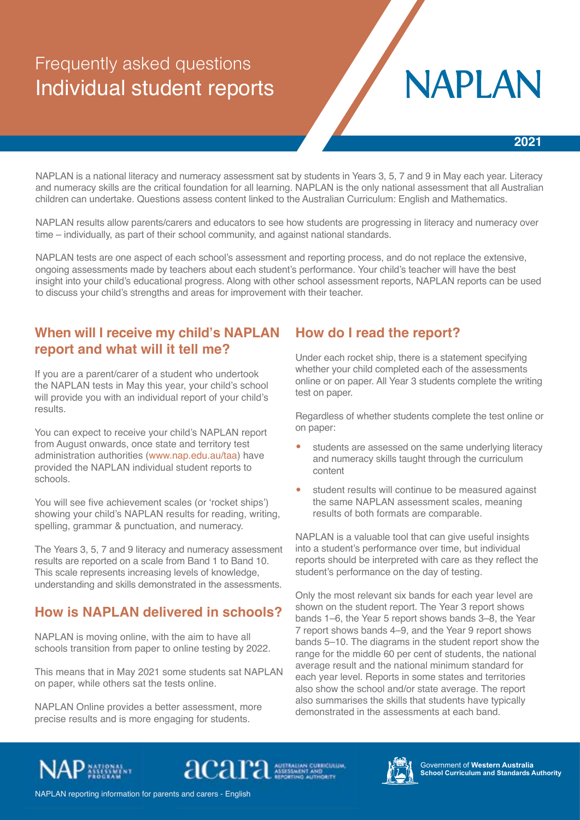# Frequently asked questions Individual student reports

# **NAPLAN**

NAPLAN is a national literacy and numeracy assessment sat by students in Years 3, 5, 7 and 9 in May each year. Literacy and numeracy skills are the critical foundation for all learning. NAPLAN is the only national assessment that all Australian children can undertake. Questions assess content linked to the Australian Curriculum: English and Mathematics.

NAPLAN results allow parents/carers and educators to see how students are progressing in literacy and numeracy over time – individually, as part of their school community, and against national standards.

NAPLAN tests are one aspect of each school's assessment and reporting process, and do not replace the extensive, ongoing assessments made by teachers about each student's performance. Your child's teacher will have the best insight into your child's educational progress. Along with other school assessment reports, NAPLAN reports can be used to discuss your child's strengths and areas for improvement with their teacher.

## **When will I receive my child's NAPLAN report and what will it tell me?**

If you are a parent/carer of a student who undertook the NAPLAN tests in May this year, your child's school will provide you with an individual report of your child's results.

You can expect to receive your child's NAPLAN report from August onwards, once state and territory test administration authorities ([www.nap.edu.au/taa\)](http://www.nap.edu.au/taa) have provided the NAPLAN individual student reports to schools.

You will see five achievement scales (or 'rocket ships') showing your child's NAPLAN results for reading, writing, spelling, grammar & punctuation, and numeracy.

The Years 3, 5, 7 and 9 literacy and numeracy assessment results are reported on a scale from Band 1 to Band 10. This scale represents increasing levels of knowledge, understanding and skills demonstrated in the assessments.

## **How is NAPLAN delivered in schools?**

NAPLAN is moving online, with the aim to have all schools transition from paper to online testing by 2022.

This means that in May 2021 some students sat NAPLAN on paper, while others sat the tests online.

NAPLAN Online provides a better assessment, more precise results and is more engaging for students.

## **How do I read the report?**

Under each rocket ship, there is a statement specifying whether your child completed each of the assessments online or on paper. All Year 3 students complete the writing test on paper.

Regardless of whether students complete the test online or on paper:

- students are assessed on the same underlying literacy and numeracy skills taught through the curriculum content
- student results will continue to be measured against the same NAPLAN assessment scales, meaning results of both formats are comparable.

NAPLAN is a valuable tool that can give useful insights into a student's performance over time, but individual reports should be interpreted with care as they reflect the student's performance on the day of testing.

Only the most relevant six bands for each year level are shown on the student report. The Year 3 report shows bands 1–6, the Year 5 report shows bands 3–8, the Year 7 report shows bands 4–9, and the Year 9 report shows bands 5–10. The diagrams in the student report show the range for the middle 60 per cent of students, the national average result and the national minimum standard for each year level. Reports in some states and territories also show the school and/or state average. The report also summarises the skills that students have typically demonstrated in the assessments at each band.



acara